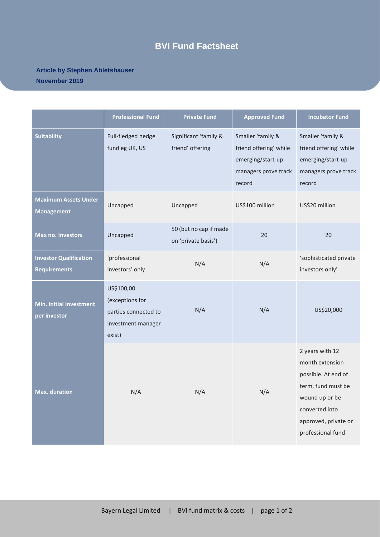## **BVI Fund Factsheet**

## **Article by Stephen Abletshauser November 2019**

|                                                      | <b>Professional Fund</b>                                                              | <b>Private Fund</b>                           | <b>Approved Fund</b>                                                                               | <b>Incubator Fund</b>                                                                                                                                            |
|------------------------------------------------------|---------------------------------------------------------------------------------------|-----------------------------------------------|----------------------------------------------------------------------------------------------------|------------------------------------------------------------------------------------------------------------------------------------------------------------------|
| <b>Suitability</b>                                   | Full-fledged hedge<br>fund eg UK, US                                                  | Significant 'family &<br>friend' offering     | Smaller 'family &<br>friend offering' while<br>emerging/start-up<br>managers prove track<br>record | Smaller 'family &<br>friend offering' while<br>emerging/start-up<br>managers prove track<br>record                                                               |
| <b>Maximum Assets Under</b><br><b>Management</b>     | Uncapped                                                                              | Uncapped                                      | US\$100 million                                                                                    | US\$20 million                                                                                                                                                   |
| <b>Max no. Investors</b>                             | Uncapped                                                                              | 50 (but no cap if made<br>on 'private basis') | 20                                                                                                 | 20                                                                                                                                                               |
| <b>Investor Qualification</b><br><b>Requirements</b> | 'professional<br>investors' only                                                      | N/A                                           | N/A                                                                                                | 'sophisticated private<br>investors only'                                                                                                                        |
| Min. initial investment<br>per investor              | US\$100,00<br>(exceptions for<br>parties connected to<br>investment manager<br>exist) | N/A                                           | N/A                                                                                                | US\$20,000                                                                                                                                                       |
| <b>Max. duration</b>                                 | N/A                                                                                   | N/A                                           | N/A                                                                                                | 2 years with 12<br>month extension<br>possible. At end of<br>term, fund must be<br>wound up or be<br>converted into<br>approved, private or<br>professional fund |